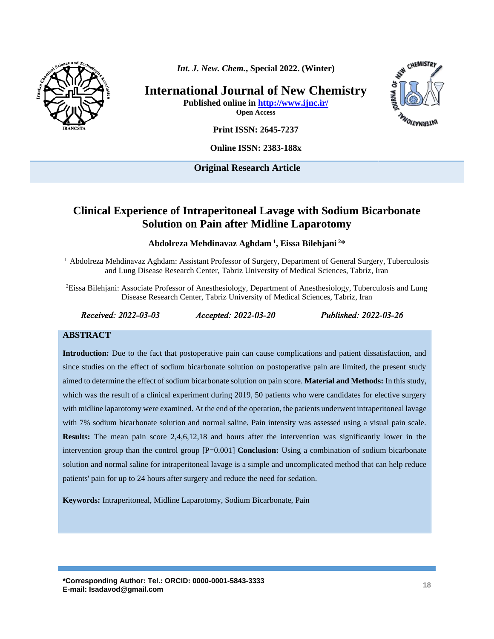

*Int. J. New. Chem.***, Special 2022. (Winter)**

**International Journal of New Chemistry Published online in<http://www.ijnc.ir/>**

**Open Access**

**INTERNATIONS** 

CHEMISTRY

**Print ISSN: 2645-7237**

**Online ISSN: 2383-188x** 

**Original Research Article** 

# **Clinical Experience of Intraperitoneal Lavage with Sodium Bicarbonate Solution on Pain after Midline Laparotomy**

**Abdolreza Mehdinavaz Aghdam <sup>1</sup> , Eissa Bilehjani <sup>2</sup>\***

<sup>1</sup> Abdolreza Mehdinavaz Aghdam: Assistant Professor of Surgery, Department of General Surgery, Tuberculosis and Lung Disease Research Center, Tabriz University of Medical Sciences, Tabriz, Iran

<sup>2</sup>Eissa Bilehjani: Associate Professor of Anesthesiology, Department of Anesthesiology, Tuberculosis and Lung Disease Research Center, Tabriz University of Medical Sciences, Tabriz, Iran

#### *Received: 2022-03-03 Accepted: 2022-03-20 Published: 2022-03-26*

#### **ABSTRACT**

**Introduction:** Due to the fact that postoperative pain can cause complications and patient dissatisfaction, and since studies on the effect of sodium bicarbonate solution on postoperative pain are limited, the present study aimed to determine the effect of sodium bicarbonate solution on pain score. **Material and Methods:** In this study, which was the result of a clinical experiment during 2019, 50 patients who were candidates for elective surgery with midline laparotomy were examined. At the end of the operation, the patients underwent intraperitoneal lavage with 7% sodium bicarbonate solution and normal saline. Pain intensity was assessed using a visual pain scale. **Results:** The mean pain score 2,4,6,12,18 and hours after the intervention was significantly lower in the intervention group than the control group [P=0.001] **Conclusion:** Using a combination of sodium bicarbonate solution and normal saline for intraperitoneal lavage is a simple and uncomplicated method that can help reduce patients' pain for up to 24 hours after surgery and reduce the need for sedation.

**Keywords:** Intraperitoneal, Midline Laparotomy, Sodium Bicarbonate, Pain

**\*Corresponding Author: Tel.: ORCID: 0000-0001-5843-3333 E-mail: Isadavod@gmail.com <sup>18</sup>**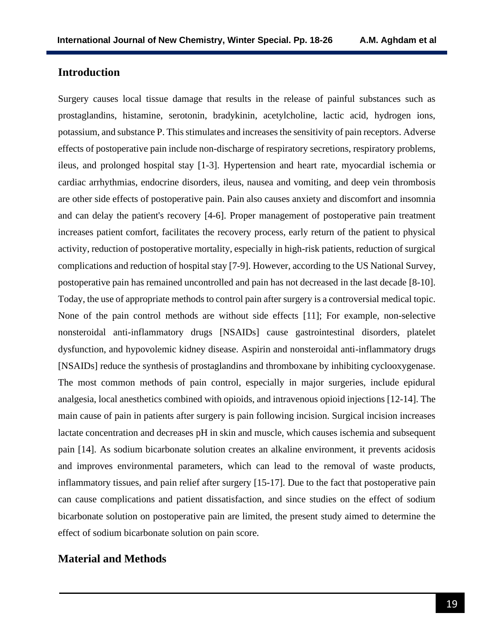## **Introduction**

Surgery causes local tissue damage that results in the release of painful substances such as prostaglandins, histamine, serotonin, bradykinin, acetylcholine, lactic acid, hydrogen ions, potassium, and substance P. This stimulates and increases the sensitivity of pain receptors. Adverse effects of postoperative pain include non-discharge of respiratory secretions, respiratory problems, ileus, and prolonged hospital stay [1-3]. Hypertension and heart rate, myocardial ischemia or cardiac arrhythmias, endocrine disorders, ileus, nausea and vomiting, and deep vein thrombosis are other side effects of postoperative pain. Pain also causes anxiety and discomfort and insomnia and can delay the patient's recovery [4-6]. Proper management of postoperative pain treatment increases patient comfort, facilitates the recovery process, early return of the patient to physical activity, reduction of postoperative mortality, especially in high-risk patients, reduction of surgical complications and reduction of hospital stay [7-9]. However, according to the US National Survey, postoperative pain has remained uncontrolled and pain has not decreased in the last decade [8-10]. Today, the use of appropriate methods to control pain after surgery is a controversial medical topic. None of the pain control methods are without side effects [11]; For example, non-selective nonsteroidal anti-inflammatory drugs [NSAIDs] cause gastrointestinal disorders, platelet dysfunction, and hypovolemic kidney disease. Aspirin and nonsteroidal anti-inflammatory drugs [NSAIDs] reduce the synthesis of prostaglandins and thromboxane by inhibiting cyclooxygenase. The most common methods of pain control, especially in major surgeries, include epidural analgesia, local anesthetics combined with opioids, and intravenous opioid injections [12-14]. The main cause of pain in patients after surgery is pain following incision. Surgical incision increases lactate concentration and decreases pH in skin and muscle, which causes ischemia and subsequent pain [14]. As sodium bicarbonate solution creates an alkaline environment, it prevents acidosis and improves environmental parameters, which can lead to the removal of waste products, inflammatory tissues, and pain relief after surgery [15-17]. Due to the fact that postoperative pain can cause complications and patient dissatisfaction, and since studies on the effect of sodium bicarbonate solution on postoperative pain are limited, the present study aimed to determine the effect of sodium bicarbonate solution on pain score.

### **Material and Methods**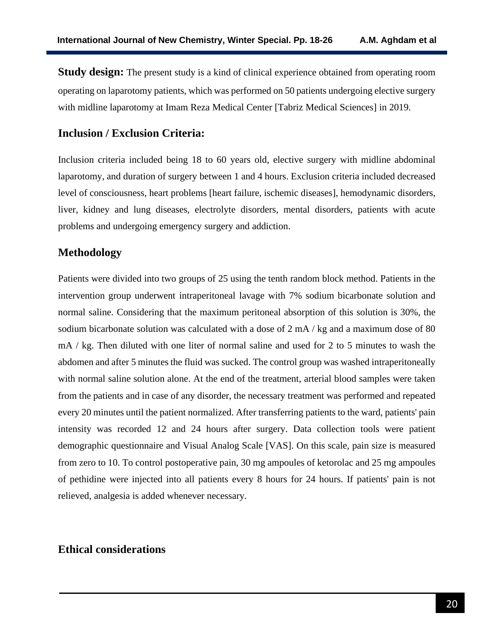**Study design:** The present study is a kind of clinical experience obtained from operating room operating on laparotomy patients, which was performed on 50 patients undergoing elective surgery with midline laparotomy at Imam Reza Medical Center [Tabriz Medical Sciences] in 2019.

## **Inclusion / Exclusion Criteria:**

Inclusion criteria included being 18 to 60 years old, elective surgery with midline abdominal laparotomy, and duration of surgery between 1 and 4 hours. Exclusion criteria included decreased level of consciousness, heart problems [heart failure, ischemic diseases], hemodynamic disorders, liver, kidney and lung diseases, electrolyte disorders, mental disorders, patients with acute problems and undergoing emergency surgery and addiction.

# **Methodology**

Patients were divided into two groups of 25 using the tenth random block method. Patients in the intervention group underwent intraperitoneal lavage with 7% sodium bicarbonate solution and normal saline. Considering that the maximum peritoneal absorption of this solution is 30%, the sodium bicarbonate solution was calculated with a dose of 2 mA / kg and a maximum dose of 80 mA / kg. Then diluted with one liter of normal saline and used for 2 to 5 minutes to wash the abdomen and after 5 minutes the fluid was sucked. The control group was washed intraperitoneally with normal saline solution alone. At the end of the treatment, arterial blood samples were taken from the patients and in case of any disorder, the necessary treatment was performed and repeated every 20 minutes until the patient normalized. After transferring patients to the ward, patients' pain intensity was recorded 12 and 24 hours after surgery. Data collection tools were patient demographic questionnaire and Visual Analog Scale [VAS]. On this scale, pain size is measured from zero to 10. To control postoperative pain, 30 mg ampoules of ketorolac and 25 mg ampoules of pethidine were injected into all patients every 8 hours for 24 hours. If patients' pain is not relieved, analgesia is added whenever necessary.

# **Ethical considerations**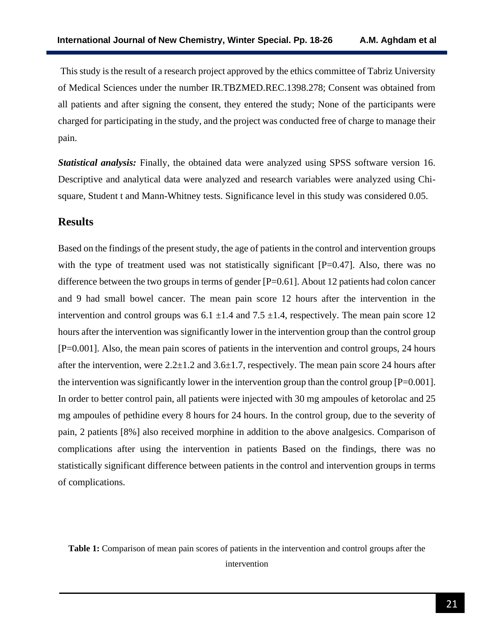This study is the result of a research project approved by the ethics committee of Tabriz University of Medical Sciences under the number IR.TBZMED.REC.1398.278; Consent was obtained from all patients and after signing the consent, they entered the study; None of the participants were charged for participating in the study, and the project was conducted free of charge to manage their pain.

*Statistical analysis:* Finally, the obtained data were analyzed using SPSS software version 16. Descriptive and analytical data were analyzed and research variables were analyzed using Chisquare, Student t and Mann-Whitney tests. Significance level in this study was considered 0.05.

#### **Results**

Based on the findings of the present study, the age of patients in the control and intervention groups with the type of treatment used was not statistically significant  $[P=0.47]$ . Also, there was no difference between the two groups in terms of gender [P=0.61]. About 12 patients had colon cancer and 9 had small bowel cancer. The mean pain score 12 hours after the intervention in the intervention and control groups was  $6.1 \pm 1.4$  and  $7.5 \pm 1.4$ , respectively. The mean pain score 12 hours after the intervention was significantly lower in the intervention group than the control group [P=0.001]. Also, the mean pain scores of patients in the intervention and control groups, 24 hours after the intervention, were  $2.2\pm1.2$  and  $3.6\pm1.7$ , respectively. The mean pain score 24 hours after the intervention was significantly lower in the intervention group than the control group  $[P=0.001]$ . In order to better control pain, all patients were injected with 30 mg ampoules of ketorolac and 25 mg ampoules of pethidine every 8 hours for 24 hours. In the control group, due to the severity of pain, 2 patients [8%] also received morphine in addition to the above analgesics. Comparison of complications after using the intervention in patients Based on the findings, there was no statistically significant difference between patients in the control and intervention groups in terms of complications.

**Table 1:** Comparison of mean pain scores of patients in the intervention and control groups after the intervention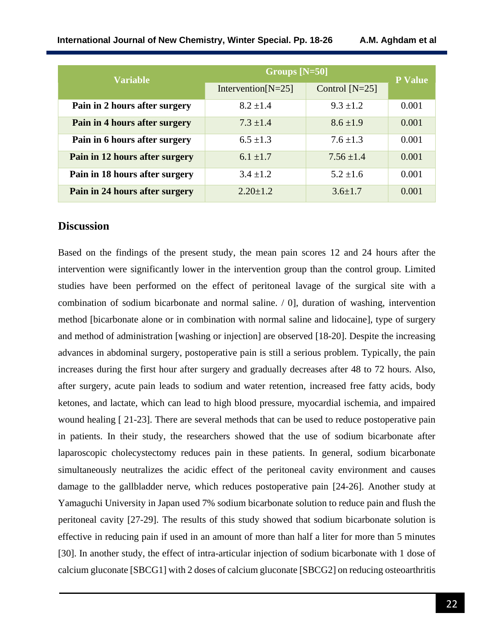| <b>Variable</b>                | Groups [N=50]         |                  | <b>P</b> Value |
|--------------------------------|-----------------------|------------------|----------------|
|                                | Intervention $[N=25]$ | Control $[N=25]$ |                |
| Pain in 2 hours after surgery  | $8.2 \pm 1.4$         | $9.3 \pm 1.2$    | 0.001          |
| Pain in 4 hours after surgery  | $7.3 \pm 1.4$         | $8.6 \pm 1.9$    | 0.001          |
| Pain in 6 hours after surgery  | $6.5 \pm 1.3$         | $7.6 \pm 1.3$    | 0.001          |
| Pain in 12 hours after surgery | $6.1 \pm 1.7$         | $7.56 \pm 1.4$   | 0.001          |
| Pain in 18 hours after surgery | $3.4 \pm 1.2$         | $5.2 \pm 1.6$    | 0.001          |
| Pain in 24 hours after surgery | $2.20 \pm 1.2$        | $3.6 \pm 1.7$    | 0.001          |

### **Discussion**

Based on the findings of the present study, the mean pain scores 12 and 24 hours after the intervention were significantly lower in the intervention group than the control group. Limited studies have been performed on the effect of peritoneal lavage of the surgical site with a combination of sodium bicarbonate and normal saline. / 0], duration of washing, intervention method [bicarbonate alone or in combination with normal saline and lidocaine], type of surgery and method of administration [washing or injection] are observed [18-20]. Despite the increasing advances in abdominal surgery, postoperative pain is still a serious problem. Typically, the pain increases during the first hour after surgery and gradually decreases after 48 to 72 hours. Also, after surgery, acute pain leads to sodium and water retention, increased free fatty acids, body ketones, and lactate, which can lead to high blood pressure, myocardial ischemia, and impaired wound healing [ 21-23]. There are several methods that can be used to reduce postoperative pain in patients. In their study, the researchers showed that the use of sodium bicarbonate after laparoscopic cholecystectomy reduces pain in these patients. In general, sodium bicarbonate simultaneously neutralizes the acidic effect of the peritoneal cavity environment and causes damage to the gallbladder nerve, which reduces postoperative pain [24-26]. Another study at Yamaguchi University in Japan used 7% sodium bicarbonate solution to reduce pain and flush the peritoneal cavity [27-29]. The results of this study showed that sodium bicarbonate solution is effective in reducing pain if used in an amount of more than half a liter for more than 5 minutes [30]. In another study, the effect of intra-articular injection of sodium bicarbonate with 1 dose of calcium gluconate [SBCG1] with 2 doses of calcium gluconate [SBCG2] on reducing osteoarthritis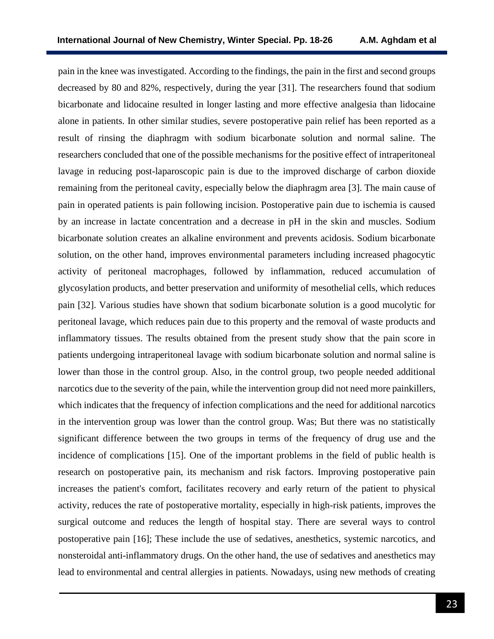pain in the knee was investigated. According to the findings, the pain in the first and second groups decreased by 80 and 82%, respectively, during the year [31]. The researchers found that sodium bicarbonate and lidocaine resulted in longer lasting and more effective analgesia than lidocaine alone in patients. In other similar studies, severe postoperative pain relief has been reported as a result of rinsing the diaphragm with sodium bicarbonate solution and normal saline. The researchers concluded that one of the possible mechanisms for the positive effect of intraperitoneal lavage in reducing post-laparoscopic pain is due to the improved discharge of carbon dioxide remaining from the peritoneal cavity, especially below the diaphragm area [3]. The main cause of pain in operated patients is pain following incision. Postoperative pain due to ischemia is caused by an increase in lactate concentration and a decrease in pH in the skin and muscles. Sodium bicarbonate solution creates an alkaline environment and prevents acidosis. Sodium bicarbonate solution, on the other hand, improves environmental parameters including increased phagocytic activity of peritoneal macrophages, followed by inflammation, reduced accumulation of glycosylation products, and better preservation and uniformity of mesothelial cells, which reduces pain [32]. Various studies have shown that sodium bicarbonate solution is a good mucolytic for peritoneal lavage, which reduces pain due to this property and the removal of waste products and inflammatory tissues. The results obtained from the present study show that the pain score in patients undergoing intraperitoneal lavage with sodium bicarbonate solution and normal saline is lower than those in the control group. Also, in the control group, two people needed additional narcotics due to the severity of the pain, while the intervention group did not need more painkillers, which indicates that the frequency of infection complications and the need for additional narcotics in the intervention group was lower than the control group. Was; But there was no statistically significant difference between the two groups in terms of the frequency of drug use and the incidence of complications [15]. One of the important problems in the field of public health is research on postoperative pain, its mechanism and risk factors. Improving postoperative pain increases the patient's comfort, facilitates recovery and early return of the patient to physical activity, reduces the rate of postoperative mortality, especially in high-risk patients, improves the surgical outcome and reduces the length of hospital stay. There are several ways to control postoperative pain [16]; These include the use of sedatives, anesthetics, systemic narcotics, and nonsteroidal anti-inflammatory drugs. On the other hand, the use of sedatives and anesthetics may lead to environmental and central allergies in patients. Nowadays, using new methods of creating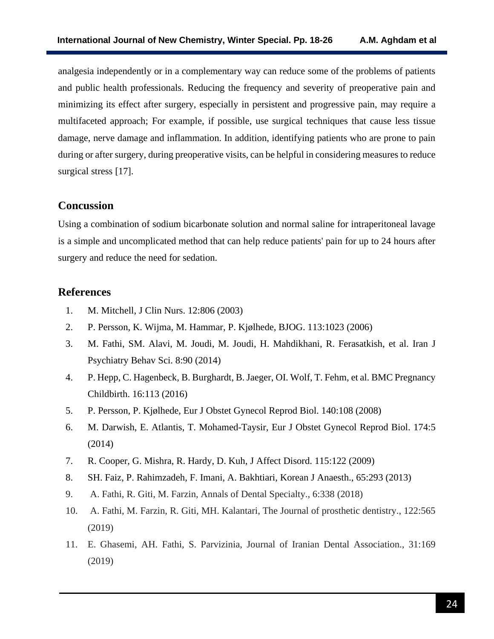analgesia independently or in a complementary way can reduce some of the problems of patients and public health professionals. Reducing the frequency and severity of preoperative pain and minimizing its effect after surgery, especially in persistent and progressive pain, may require a multifaceted approach; For example, if possible, use surgical techniques that cause less tissue damage, nerve damage and inflammation. In addition, identifying patients who are prone to pain during or after surgery, during preoperative visits, can be helpful in considering measures to reduce surgical stress [17].

## **Concussion**

Using a combination of sodium bicarbonate solution and normal saline for intraperitoneal lavage is a simple and uncomplicated method that can help reduce patients' pain for up to 24 hours after surgery and reduce the need for sedation.

# **References**

- 1. M. Mitchell, J Clin Nurs. 12:806 (2003)
- 2. P. Persson, K. Wijma, M. Hammar, P. Kjølhede, BJOG. 113:1023 (2006)
- 3. M. Fathi, SM. Alavi, M. Joudi, M. Joudi, H. Mahdikhani, R. Ferasatkish, et al. Iran J Psychiatry Behav Sci. 8:90 (2014)
- 4. P. Hepp, C. Hagenbeck, B. Burghardt, B. Jaeger, OI. Wolf, T. Fehm, et al. BMC Pregnancy Childbirth. 16:113 (2016)
- 5. P. Persson, P. Kjølhede, Eur J Obstet Gynecol Reprod Biol. 140:108 (2008)
- 6. M. Darwish, E. Atlantis, T. Mohamed-Taysir, Eur J Obstet Gynecol Reprod Biol. 174:5 (2014)
- 7. R. Cooper, G. Mishra, R. Hardy, D. Kuh, J Affect Disord. 115:122 (2009)
- 8. SH. Faiz, P. Rahimzadeh, F. Imani, A. Bakhtiari, Korean J Anaesth., 65:293 (2013)
- 9. A. Fathi, R. Giti, M. Farzin, Annals of Dental Specialty., 6:338 (2018)
- 10. A. Fathi, M. Farzin, R. Giti, MH. Kalantari, The Journal of prosthetic dentistry., 122:565 (2019)
- 11. E. Ghasemi, AH. Fathi, S. Parvizinia, Journal of Iranian Dental Association., 31:169 (2019)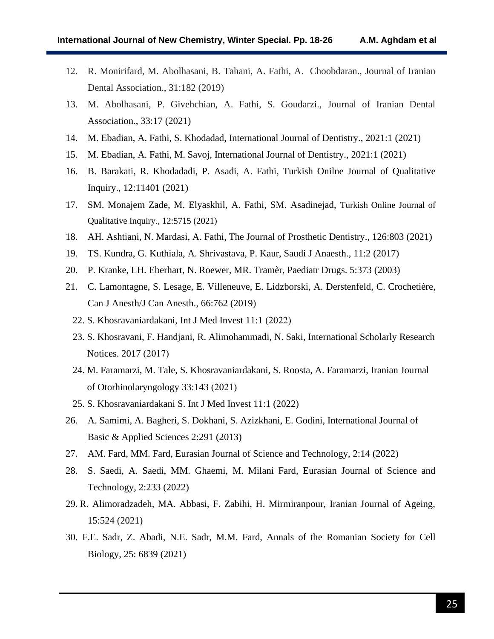- 12. R. Monirifard, M. Abolhasani, B. Tahani, A. Fathi, A. Choobdaran., Journal of Iranian Dental Association., 31:182 (2019)
- 13. M. Abolhasani, P. Givehchian, A. Fathi, S. Goudarzi., Journal of Iranian Dental Association., 33:17 (2021)
- 14. M. Ebadian, A. Fathi, S. Khodadad, International Journal of Dentistry., 2021:1 (2021)
- 15. M. Ebadian, A. Fathi, M. Savoj, International Journal of Dentistry., 2021:1 (2021)
- 16. B. Barakati, R. Khodadadi, P. Asadi, A. Fathi, Turkish Onilne Journal of Qualitative Inquiry., 12:11401 (2021)
- 17. SM. Monajem Zade, M. Elyaskhil, A. Fathi, SM. Asadinejad, Turkish Online Journal of Qualitative Inquiry., 12:5715 (2021)
- 18. AH. Ashtiani, N. Mardasi, A. Fathi, The Journal of Prosthetic Dentistry., 126:803 (2021)
- 19. TS. Kundra, G. Kuthiala, A. Shrivastava, P. Kaur, Saudi J Anaesth., 11:2 (2017)
- 20. P. Kranke, LH. Eberhart, N. Roewer, MR. Tramèr, Paediatr Drugs. 5:373 (2003)
- 21. C. Lamontagne, S. Lesage, E. Villeneuve, E. Lidzborski, A. Derstenfeld, C. Crochetière, Can J Anesth/J Can Anesth., 66:762 (2019)
	- 22. S. Khosravaniardakani, Int J Med Invest  $11:1$  (2022)
	- 23. S. Khosravani, F. Handjani, R. Alimohammadi, N. Saki, International Scholarly Research Notices. 2017 (2017)
	- 24. M. Faramarzi, M. Tale, S. Khosravaniardakani, S. Roosta, A. Faramarzi, Iranian Journal of Otorhinolaryngology  $33:143$  (2021)
	- 25. S. Khosravaniardakani S. Int J Med Invest 11:1 (2022)
- 26. A. Samimi, A. Bagheri, S. Dokhani, S. Azizkhani, E. Godini, International Journal of Basic & Applied Sciences 2:291 (2013)
- 27. AM. Fard, MM. Fard, Eurasian Journal of Science and Technology, 2:14 (2022)
- 28. S. Saedi, A. Saedi, MM. Ghaemi, M. Milani Fard, Eurasian Journal of Science and Technology, 2:233 (2022)
- 29. R. Alimoradzadeh, MA. Abbasi, F. Zabihi, H. Mirmiranpour, Iranian Journal of Ageing, 15:524 (2021)
- 30. F.E. Sadr, Z. Abadi, N.E. Sadr, M.M. Fard, Annals of the Romanian Society for Cell Biology, 25: 6839 (2021)